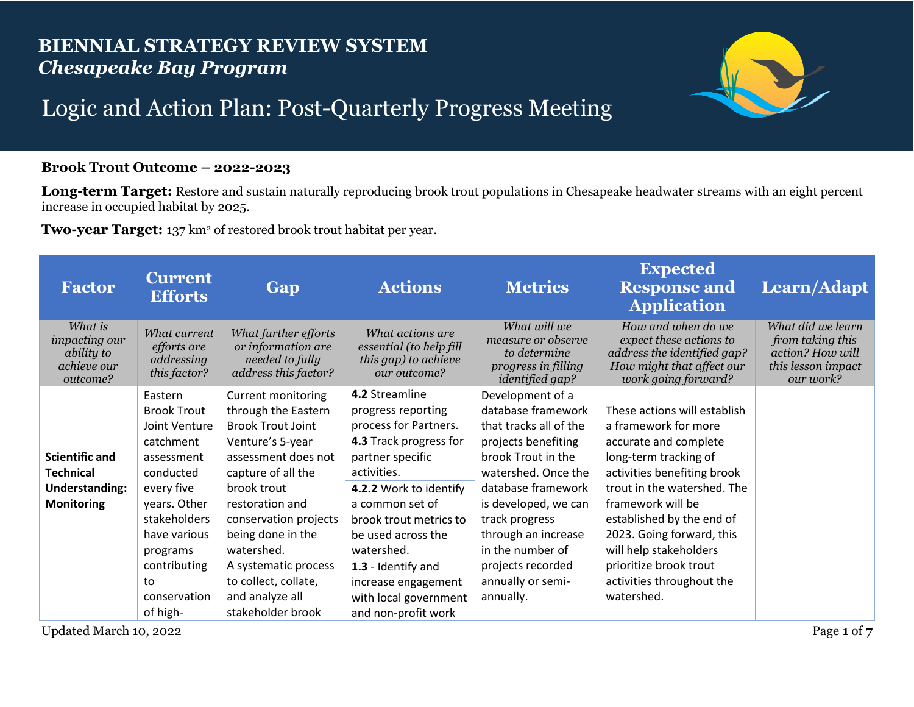## **BIENNIAL STRATEGY REVIEW SYSTEM** *Chesapeake Bay Program*



## Logic and Action Plan: Post-Quarterly Progress Meeting

## **Brook Trout Outcome – 2022-2023**

**Long-term Target:** Restore and sustain naturally reproducing brook trout populations in Chesapeake headwater streams with an eight percent increase in occupied habitat by 2025.

**Two-year Target:** 137 km2 of restored brook trout habitat per year.

| <b>Factor</b>                                                            | <b>Current</b><br><b>Efforts</b>                          | Gap                                                                                   | <b>Actions</b>                                                                      | <b>Metrics</b>                                                                                      | <b>Expected</b><br><b>Response and</b><br><b>Application</b>                                                                     | Learn/Adapt                                                                                  |
|--------------------------------------------------------------------------|-----------------------------------------------------------|---------------------------------------------------------------------------------------|-------------------------------------------------------------------------------------|-----------------------------------------------------------------------------------------------------|----------------------------------------------------------------------------------------------------------------------------------|----------------------------------------------------------------------------------------------|
| What is<br>impacting our<br><i>ability to</i><br>achieve our<br>outcome? | What current<br>efforts are<br>addressing<br>this factor? | What further efforts<br>or information are<br>needed to fully<br>address this factor? | What actions are<br>essential (to help fill<br>this gap) to achieve<br>our outcome? | What will we<br>measure or observe<br>to determine<br>progress in filling<br><i>identified gap?</i> | How and when do we<br>expect these actions to<br>address the identified gap?<br>How might that affect our<br>work going forward? | What did we learn<br>from taking this<br>action? How will<br>this lesson impact<br>our work? |
|                                                                          | Eastern                                                   | <b>Current monitoring</b>                                                             | 4.2 Streamline                                                                      | Development of a                                                                                    |                                                                                                                                  |                                                                                              |
|                                                                          | <b>Brook Trout</b>                                        | through the Eastern                                                                   | progress reporting                                                                  | database framework                                                                                  | These actions will establish                                                                                                     |                                                                                              |
|                                                                          | Joint Venture                                             | <b>Brook Trout Joint</b>                                                              | process for Partners.                                                               | that tracks all of the                                                                              | a framework for more                                                                                                             |                                                                                              |
|                                                                          | catchment                                                 | Venture's 5-year                                                                      | 4.3 Track progress for                                                              | projects benefiting                                                                                 | accurate and complete                                                                                                            |                                                                                              |
| <b>Scientific and</b>                                                    | assessment                                                | assessment does not                                                                   | partner specific                                                                    | brook Trout in the                                                                                  | long-term tracking of                                                                                                            |                                                                                              |
| <b>Technical</b>                                                         | conducted                                                 | capture of all the                                                                    | activities.                                                                         | watershed. Once the                                                                                 | activities benefiting brook                                                                                                      |                                                                                              |
| <b>Understanding:</b>                                                    | every five                                                | brook trout                                                                           | 4.2.2 Work to identify                                                              | database framework                                                                                  | trout in the watershed. The                                                                                                      |                                                                                              |
| <b>Monitoring</b>                                                        | years. Other                                              | restoration and                                                                       | a common set of                                                                     | is developed, we can                                                                                | framework will be                                                                                                                |                                                                                              |
|                                                                          | stakeholders                                              | conservation projects                                                                 | brook trout metrics to                                                              | track progress                                                                                      | established by the end of                                                                                                        |                                                                                              |
|                                                                          | have various                                              | being done in the                                                                     | be used across the                                                                  | through an increase                                                                                 | 2023. Going forward, this                                                                                                        |                                                                                              |
|                                                                          | programs                                                  | watershed.                                                                            | watershed.                                                                          | in the number of                                                                                    | will help stakeholders                                                                                                           |                                                                                              |
|                                                                          | contributing                                              | A systematic process                                                                  | 1.3 - Identify and                                                                  | projects recorded                                                                                   | prioritize brook trout                                                                                                           |                                                                                              |
|                                                                          | to                                                        | to collect, collate,                                                                  | increase engagement                                                                 | annually or semi-                                                                                   | activities throughout the                                                                                                        |                                                                                              |
|                                                                          | conservation                                              | and analyze all                                                                       | with local government                                                               | annually.                                                                                           | watershed.                                                                                                                       |                                                                                              |
|                                                                          | of high-                                                  | stakeholder brook                                                                     | and non-profit work                                                                 |                                                                                                     |                                                                                                                                  |                                                                                              |

Updated March 10, 2022 Page 1 of  $7$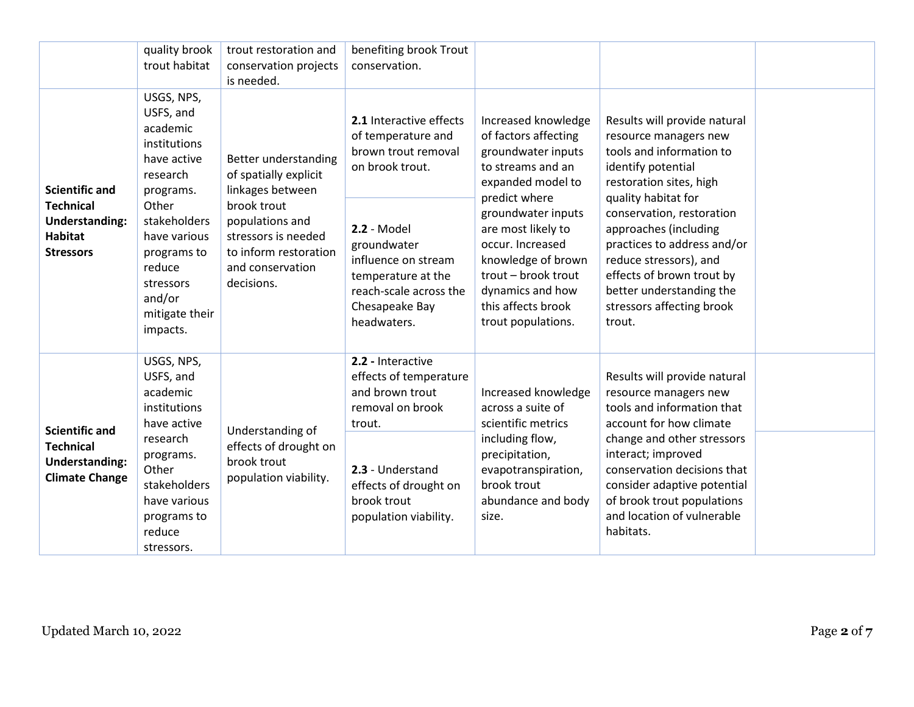|                                                                                                          | quality brook<br>trout habitat                                                                                                                                                                                     | trout restoration and<br>conservation projects<br>is needed.                                                                                                                          | benefiting brook Trout<br>conservation.                                                                                                                                                                                       |                                                                                                                                                                                                                                                                                                           |                                                                                                                                                                                                                                                                                                                                                                          |  |
|----------------------------------------------------------------------------------------------------------|--------------------------------------------------------------------------------------------------------------------------------------------------------------------------------------------------------------------|---------------------------------------------------------------------------------------------------------------------------------------------------------------------------------------|-------------------------------------------------------------------------------------------------------------------------------------------------------------------------------------------------------------------------------|-----------------------------------------------------------------------------------------------------------------------------------------------------------------------------------------------------------------------------------------------------------------------------------------------------------|--------------------------------------------------------------------------------------------------------------------------------------------------------------------------------------------------------------------------------------------------------------------------------------------------------------------------------------------------------------------------|--|
| <b>Scientific and</b><br><b>Technical</b><br><b>Understanding:</b><br><b>Habitat</b><br><b>Stressors</b> | USGS, NPS,<br>USFS, and<br>academic<br>institutions<br>have active<br>research<br>programs.<br>Other<br>stakeholders<br>have various<br>programs to<br>reduce<br>stressors<br>and/or<br>mitigate their<br>impacts. | Better understanding<br>of spatially explicit<br>linkages between<br>brook trout<br>populations and<br>stressors is needed<br>to inform restoration<br>and conservation<br>decisions. | 2.1 Interactive effects<br>of temperature and<br>brown trout removal<br>on brook trout.<br>2.2 - Model<br>groundwater<br>influence on stream<br>temperature at the<br>reach-scale across the<br>Chesapeake Bay<br>headwaters. | Increased knowledge<br>of factors affecting<br>groundwater inputs<br>to streams and an<br>expanded model to<br>predict where<br>groundwater inputs<br>are most likely to<br>occur. Increased<br>knowledge of brown<br>trout - brook trout<br>dynamics and how<br>this affects brook<br>trout populations. | Results will provide natural<br>resource managers new<br>tools and information to<br>identify potential<br>restoration sites, high<br>quality habitat for<br>conservation, restoration<br>approaches (including<br>practices to address and/or<br>reduce stressors), and<br>effects of brown trout by<br>better understanding the<br>stressors affecting brook<br>trout. |  |
| <b>Scientific and</b><br><b>Technical</b><br><b>Understanding:</b><br><b>Climate Change</b>              | USGS, NPS,<br>USFS, and<br>academic<br>institutions<br>have active<br>research<br>programs.<br>Other<br>stakeholders<br>have various<br>programs to<br>reduce<br>stressors.                                        | Understanding of<br>effects of drought on<br>brook trout<br>population viability.                                                                                                     | 2.2 - Interactive<br>effects of temperature<br>and brown trout<br>removal on brook<br>trout.<br>2.3 - Understand<br>effects of drought on<br>brook trout<br>population viability.                                             | Increased knowledge<br>across a suite of<br>scientific metrics<br>including flow,<br>precipitation,<br>evapotranspiration,<br>brook trout<br>abundance and body<br>size.                                                                                                                                  | Results will provide natural<br>resource managers new<br>tools and information that<br>account for how climate<br>change and other stressors<br>interact; improved<br>conservation decisions that<br>consider adaptive potential<br>of brook trout populations<br>and location of vulnerable<br>habitats.                                                                |  |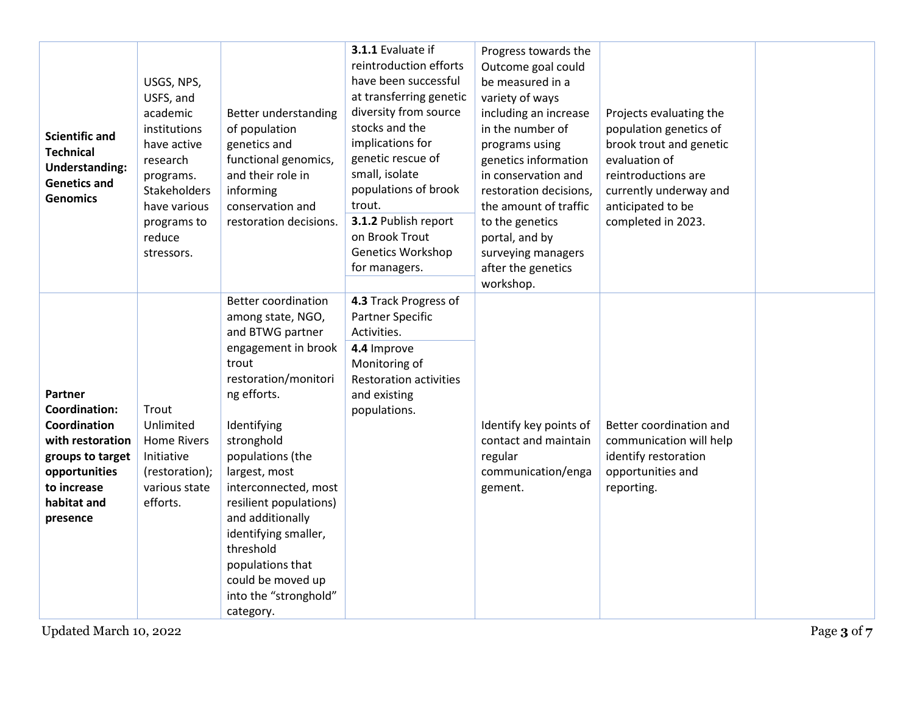| <b>Scientific and</b><br><b>Technical</b><br><b>Understanding:</b><br><b>Genetics and</b><br><b>Genomics</b>                                                                 | USGS, NPS,<br>USFS, and<br>academic<br>institutions<br>have active<br>research<br>programs.<br>Stakeholders<br>have various<br>programs to<br>reduce<br>stressors. | Better understanding<br>of population<br>genetics and<br>functional genomics,<br>and their role in<br>informing<br>conservation and<br>restoration decisions.                                                                                                                                                                                                                                          | 3.1.1 Evaluate if<br>reintroduction efforts<br>have been successful<br>at transferring genetic<br>diversity from source<br>stocks and the<br>implications for<br>genetic rescue of<br>small, isolate<br>populations of brook<br>trout.<br>3.1.2 Publish report<br>on Brook Trout<br><b>Genetics Workshop</b><br>for managers. | Progress towards the<br>Outcome goal could<br>be measured in a<br>variety of ways<br>including an increase<br>in the number of<br>programs using<br>genetics information<br>in conservation and<br>restoration decisions,<br>the amount of traffic<br>to the genetics<br>portal, and by<br>surveying managers<br>after the genetics<br>workshop. | Projects evaluating the<br>population genetics of<br>brook trout and genetic<br>evaluation of<br>reintroductions are<br>currently underway and<br>anticipated to be<br>completed in 2023. |             |
|------------------------------------------------------------------------------------------------------------------------------------------------------------------------------|--------------------------------------------------------------------------------------------------------------------------------------------------------------------|--------------------------------------------------------------------------------------------------------------------------------------------------------------------------------------------------------------------------------------------------------------------------------------------------------------------------------------------------------------------------------------------------------|-------------------------------------------------------------------------------------------------------------------------------------------------------------------------------------------------------------------------------------------------------------------------------------------------------------------------------|--------------------------------------------------------------------------------------------------------------------------------------------------------------------------------------------------------------------------------------------------------------------------------------------------------------------------------------------------|-------------------------------------------------------------------------------------------------------------------------------------------------------------------------------------------|-------------|
| Partner<br><b>Coordination:</b><br>Coordination<br>with restoration<br>groups to target<br>opportunities<br>to increase<br>habitat and<br>presence<br>Updated March 10, 2022 | Trout<br>Unlimited<br><b>Home Rivers</b><br>Initiative<br>(restoration);<br>various state<br>efforts.                                                              | <b>Better coordination</b><br>among state, NGO,<br>and BTWG partner<br>engagement in brook<br>trout<br>restoration/monitori<br>ng efforts.<br>Identifying<br>stronghold<br>populations (the<br>largest, most<br>interconnected, most<br>resilient populations)<br>and additionally<br>identifying smaller,<br>threshold<br>populations that<br>could be moved up<br>into the "stronghold"<br>category. | 4.3 Track Progress of<br>Partner Specific<br>Activities.<br>4.4 Improve<br>Monitoring of<br><b>Restoration activities</b><br>and existing<br>populations.                                                                                                                                                                     | Identify key points of<br>contact and maintain<br>regular<br>communication/enga<br>gement.                                                                                                                                                                                                                                                       | Better coordination and<br>communication will help<br>identify restoration<br>opportunities and<br>reporting.                                                                             | Page 3 of 7 |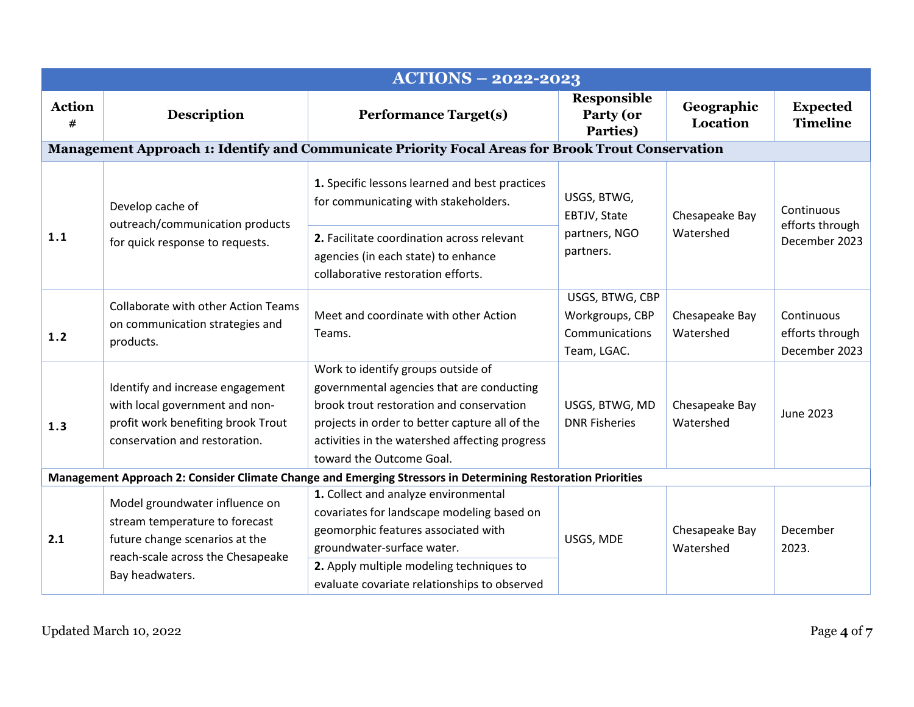| <b>ACTIONS - 2022-2023</b> |                                                                                                                                                            |                                                                                                                                                                                                                                                             |                                                                                          |                                  |                                                |  |  |  |
|----------------------------|------------------------------------------------------------------------------------------------------------------------------------------------------------|-------------------------------------------------------------------------------------------------------------------------------------------------------------------------------------------------------------------------------------------------------------|------------------------------------------------------------------------------------------|----------------------------------|------------------------------------------------|--|--|--|
| <b>Action</b><br>#         | <b>Description</b>                                                                                                                                         | <b>Performance Target(s)</b>                                                                                                                                                                                                                                | <b>Responsible</b><br>Party (or<br>Parties)                                              | Geographic<br>Location           | <b>Expected</b><br><b>Timeline</b>             |  |  |  |
|                            |                                                                                                                                                            | Management Approach 1: Identify and Communicate Priority Focal Areas for Brook Trout Conservation                                                                                                                                                           |                                                                                          |                                  |                                                |  |  |  |
|                            | Develop cache of<br>outreach/communication products<br>for quick response to requests.                                                                     | 1. Specific lessons learned and best practices<br>for communicating with stakeholders.                                                                                                                                                                      | USGS, BTWG,<br>EBTJV, State<br>Chesapeake Bay<br>Watershed<br>partners, NGO<br>partners. |                                  | Continuous                                     |  |  |  |
| 1.1                        |                                                                                                                                                            | 2. Facilitate coordination across relevant<br>agencies (in each state) to enhance<br>collaborative restoration efforts.                                                                                                                                     |                                                                                          | efforts through<br>December 2023 |                                                |  |  |  |
| 1.2                        | Collaborate with other Action Teams<br>on communication strategies and<br>products.                                                                        | Meet and coordinate with other Action<br>Teams.                                                                                                                                                                                                             | USGS, BTWG, CBP<br>Workgroups, CBP<br>Communications<br>Team, LGAC.                      | Chesapeake Bay<br>Watershed      | Continuous<br>efforts through<br>December 2023 |  |  |  |
| 1.3                        | Identify and increase engagement<br>with local government and non-<br>profit work benefiting brook Trout<br>conservation and restoration.                  | Work to identify groups outside of<br>governmental agencies that are conducting<br>brook trout restoration and conservation<br>projects in order to better capture all of the<br>activities in the watershed affecting progress<br>toward the Outcome Goal. | USGS, BTWG, MD<br><b>DNR Fisheries</b>                                                   | Chesapeake Bay<br>Watershed      | <b>June 2023</b>                               |  |  |  |
|                            |                                                                                                                                                            | Management Approach 2: Consider Climate Change and Emerging Stressors in Determining Restoration Priorities                                                                                                                                                 |                                                                                          |                                  |                                                |  |  |  |
| 2.1                        | Model groundwater influence on<br>stream temperature to forecast<br>future change scenarios at the<br>reach-scale across the Chesapeake<br>Bay headwaters. | 1. Collect and analyze environmental<br>covariates for landscape modeling based on<br>geomorphic features associated with<br>groundwater-surface water.<br>2. Apply multiple modeling techniques to<br>evaluate covariate relationships to observed         | USGS, MDE                                                                                | Chesapeake Bay<br>Watershed      | December<br>2023.                              |  |  |  |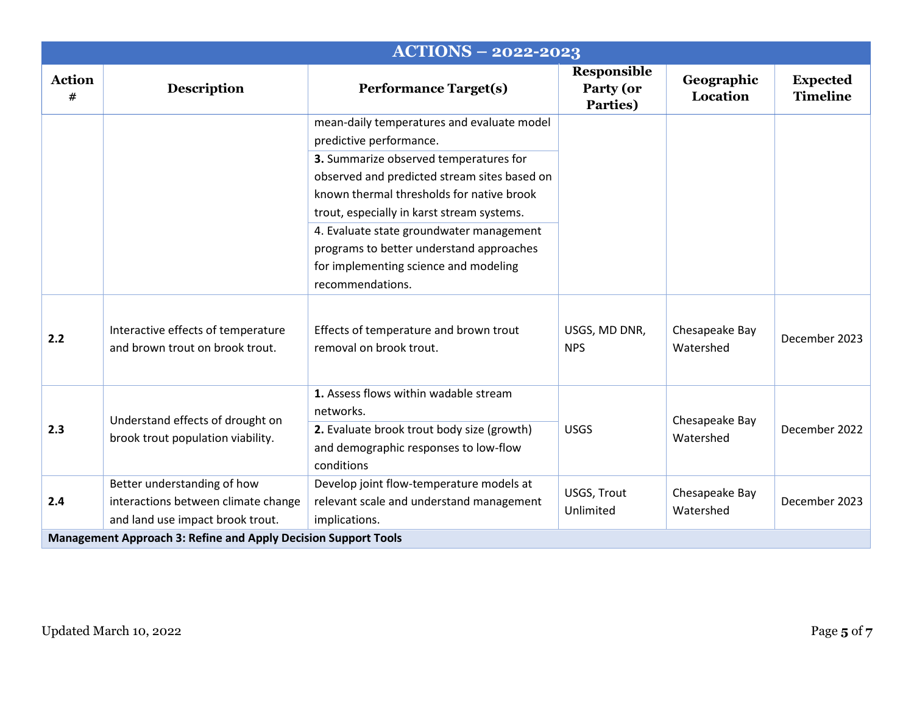|                    |                                                                         | <b>ACTIONS - 2022-2023</b>                                                                                                                                                        |                                      |                             |                                    |  |  |
|--------------------|-------------------------------------------------------------------------|-----------------------------------------------------------------------------------------------------------------------------------------------------------------------------------|--------------------------------------|-----------------------------|------------------------------------|--|--|
| <b>Action</b><br># | <b>Description</b>                                                      | <b>Performance Target(s)</b>                                                                                                                                                      | Responsible<br>Party (or<br>Parties) | Geographic<br>Location      | <b>Expected</b><br><b>Timeline</b> |  |  |
|                    |                                                                         | mean-daily temperatures and evaluate model<br>predictive performance.                                                                                                             |                                      |                             |                                    |  |  |
|                    |                                                                         | 3. Summarize observed temperatures for<br>observed and predicted stream sites based on<br>known thermal thresholds for native brook<br>trout, especially in karst stream systems. |                                      |                             |                                    |  |  |
|                    |                                                                         | 4. Evaluate state groundwater management<br>programs to better understand approaches<br>for implementing science and modeling<br>recommendations.                                 |                                      |                             |                                    |  |  |
| 2.2                | Interactive effects of temperature<br>and brown trout on brook trout.   | Effects of temperature and brown trout<br>removal on brook trout.                                                                                                                 | USGS, MD DNR,<br><b>NPS</b>          | Chesapeake Bay<br>Watershed | December 2023                      |  |  |
| 2.3                | Understand effects of drought on<br>brook trout population viability.   | 1. Assess flows within wadable stream<br>networks.<br>2. Evaluate brook trout body size (growth)<br>and demographic responses to low-flow                                         | <b>USGS</b>                          | Chesapeake Bay<br>Watershed | December 2022                      |  |  |
|                    | Better understanding of how                                             | conditions<br>Develop joint flow-temperature models at                                                                                                                            | USGS, Trout                          | Chesapeake Bay<br>Watershed | December 2023                      |  |  |
| 2.4                | interactions between climate change<br>and land use impact brook trout. | relevant scale and understand management<br>implications.                                                                                                                         | Unlimited                            |                             |                                    |  |  |
|                    | <b>Management Approach 3: Refine and Apply Decision Support Tools</b>   |                                                                                                                                                                                   |                                      |                             |                                    |  |  |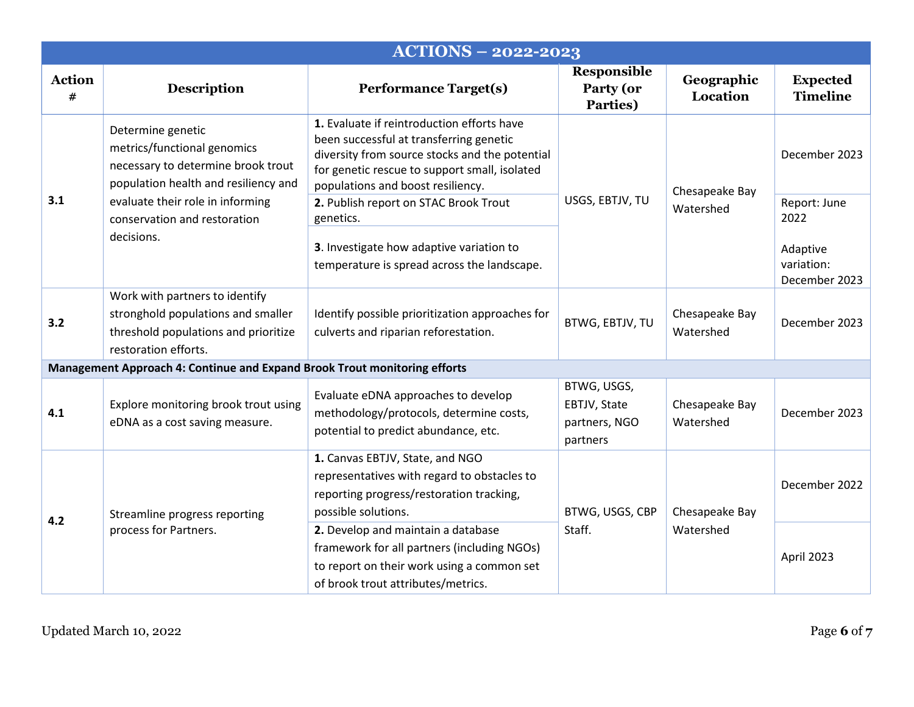|                    |                                                                                                                                      | <b>ACTIONS - 2022-2023</b>                                                                                                                                                                                                    |                                                          |                             |                                         |
|--------------------|--------------------------------------------------------------------------------------------------------------------------------------|-------------------------------------------------------------------------------------------------------------------------------------------------------------------------------------------------------------------------------|----------------------------------------------------------|-----------------------------|-----------------------------------------|
| <b>Action</b><br># | <b>Description</b>                                                                                                                   | <b>Performance Target(s)</b>                                                                                                                                                                                                  | Responsible<br>Party (or<br>Parties)                     | Geographic<br>Location      | <b>Expected</b><br><b>Timeline</b>      |
|                    | Determine genetic<br>metrics/functional genomics<br>necessary to determine brook trout<br>population health and resiliency and       | 1. Evaluate if reintroduction efforts have<br>been successful at transferring genetic<br>diversity from source stocks and the potential<br>for genetic rescue to support small, isolated<br>populations and boost resiliency. |                                                          | Chesapeake Bay<br>Watershed | December 2023                           |
| 3.1                | evaluate their role in informing<br>conservation and restoration                                                                     | 2. Publish report on STAC Brook Trout<br>genetics.                                                                                                                                                                            | USGS, EBTJV, TU                                          |                             | Report: June<br>2022                    |
|                    | decisions.                                                                                                                           | 3. Investigate how adaptive variation to<br>temperature is spread across the landscape.                                                                                                                                       |                                                          |                             | Adaptive<br>variation:<br>December 2023 |
| 3.2                | Work with partners to identify<br>stronghold populations and smaller<br>threshold populations and prioritize<br>restoration efforts. | Identify possible prioritization approaches for<br>culverts and riparian reforestation.                                                                                                                                       | BTWG, EBTJV, TU                                          | Chesapeake Bay<br>Watershed | December 2023                           |
|                    | Management Approach 4: Continue and Expand Brook Trout monitoring efforts                                                            |                                                                                                                                                                                                                               |                                                          |                             |                                         |
| 4.1                | Explore monitoring brook trout using<br>eDNA as a cost saving measure.                                                               | Evaluate eDNA approaches to develop<br>methodology/protocols, determine costs,<br>potential to predict abundance, etc.                                                                                                        | BTWG, USGS,<br>EBTJV, State<br>partners, NGO<br>partners | Chesapeake Bay<br>Watershed | December 2023                           |
| 4.2                | Streamline progress reporting<br>process for Partners.                                                                               | 1. Canvas EBTJV, State, and NGO<br>representatives with regard to obstacles to<br>reporting progress/restoration tracking,<br>possible solutions.                                                                             | BTWG, USGS, CBP<br>Chesapeake Bay<br>Staff.<br>Watershed |                             | December 2022                           |
|                    |                                                                                                                                      | 2. Develop and maintain a database<br>framework for all partners (including NGOs)<br>to report on their work using a common set<br>of brook trout attributes/metrics.                                                         |                                                          | April 2023                  |                                         |